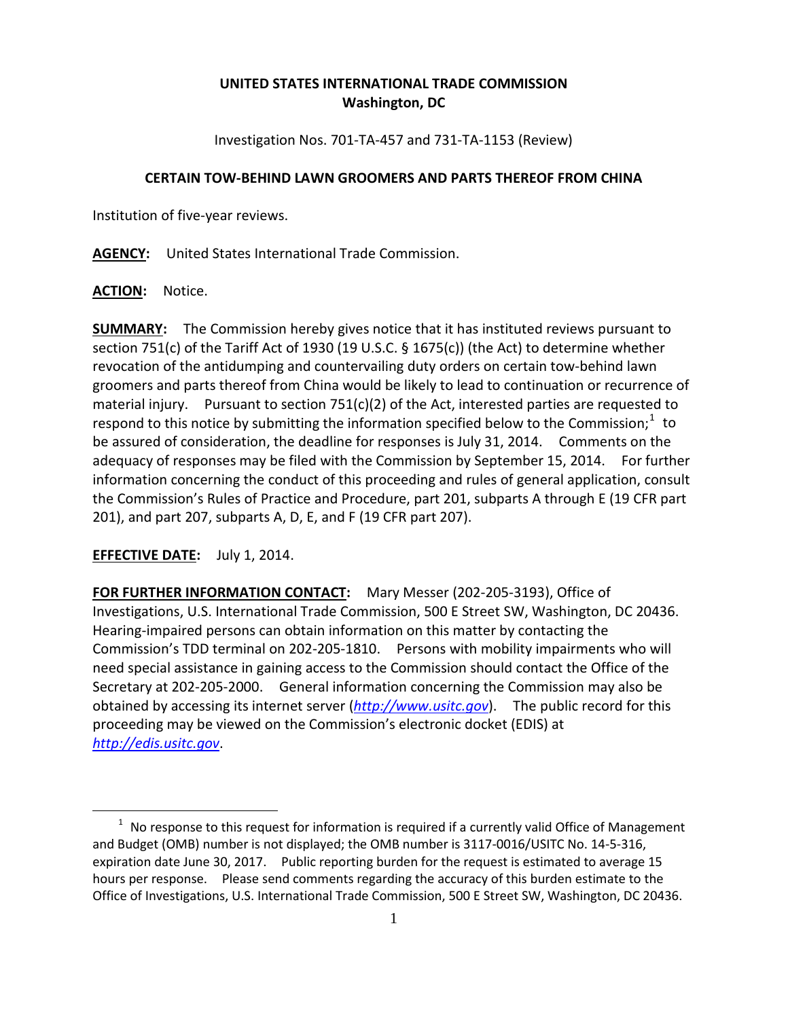## **UNITED STATES INTERNATIONAL TRADE COMMISSION Washington, DC**

Investigation Nos. 701-TA-457 and 731-TA-1153 (Review)

## **CERTAIN TOW-BEHIND LAWN GROOMERS AND PARTS THEREOF FROM CHINA**

Institution of five-year reviews.

**AGENCY:** United States International Trade Commission.

**ACTION:** Notice.

**SUMMARY:** The Commission hereby gives notice that it has instituted reviews pursuant to section 751(c) of the Tariff Act of 1930 (19 U.S.C. § 1675(c)) (the Act) to determine whether revocation of the antidumping and countervailing duty orders on certain tow-behind lawn groomers and parts thereof from China would be likely to lead to continuation or recurrence of material injury. Pursuant to section  $751(c)(2)$  of the Act, interested parties are requested to respond to this notice by submitting the information specified below to the Commission;<sup>[1](#page-0-0)</sup> to be assured of consideration, the deadline for responses is July 31, 2014. Comments on the adequacy of responses may be filed with the Commission by September 15, 2014. For further information concerning the conduct of this proceeding and rules of general application, consult the Commission's Rules of Practice and Procedure, part 201, subparts A through E (19 CFR part 201), and part 207, subparts A, D, E, and F (19 CFR part 207).

**EFFECTIVE DATE:** July 1, 2014.

 $\overline{a}$ 

**FOR FURTHER INFORMATION CONTACT:** Mary Messer (202-205-3193), Office of Investigations, U.S. International Trade Commission, 500 E Street SW, Washington, DC 20436. Hearing-impaired persons can obtain information on this matter by contacting the Commission's TDD terminal on 202-205-1810. Persons with mobility impairments who will need special assistance in gaining access to the Commission should contact the Office of the Secretary at 202-205-2000. General information concerning the Commission may also be obtained by accessing its internet server (*[http://www.usitc.gov](http://www.usitc.gov/)*). The public record for this proceeding may be viewed on the Commission's electronic docket (EDIS) at *[http://edis.usitc.gov](http://edis.usitc.gov/)*.

<span id="page-0-0"></span> $1$  No response to this request for information is required if a currently valid Office of Management and Budget (OMB) number is not displayed; the OMB number is 3117-0016/USITC No. 14-5-316, expiration date June 30, 2017. Public reporting burden for the request is estimated to average 15 hours per response. Please send comments regarding the accuracy of this burden estimate to the Office of Investigations, U.S. International Trade Commission, 500 E Street SW, Washington, DC 20436.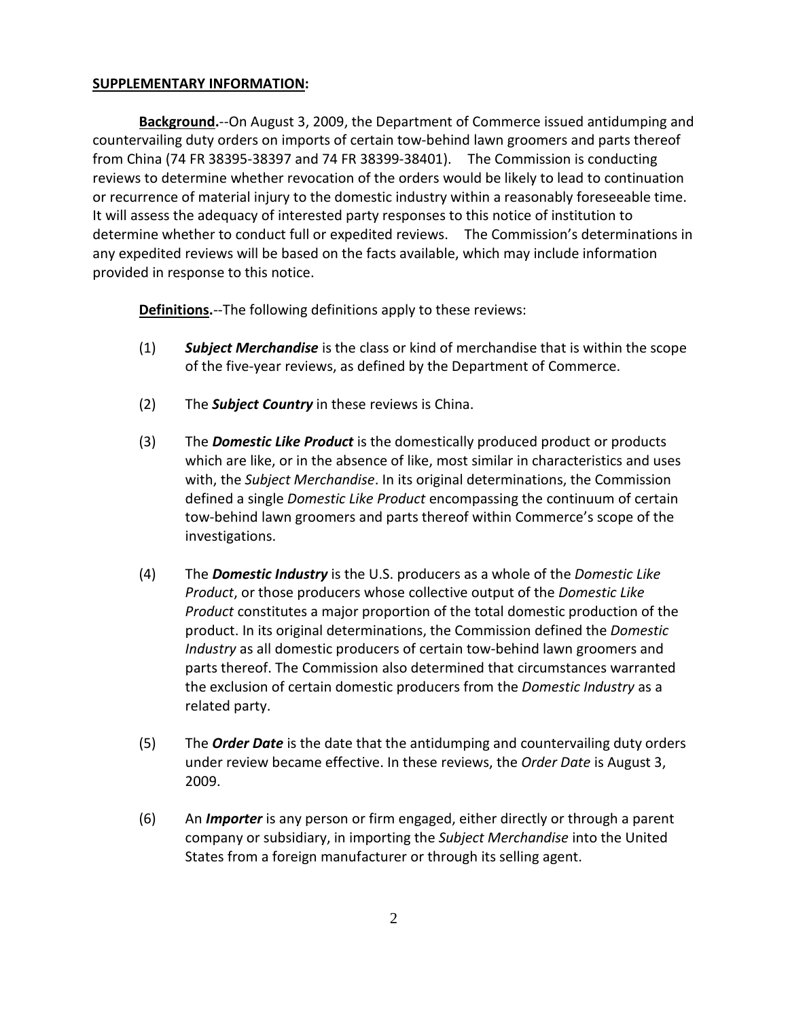## **SUPPLEMENTARY INFORMATION:**

**Background.**--On August 3, 2009, the Department of Commerce issued antidumping and countervailing duty orders on imports of certain tow-behind lawn groomers and parts thereof from China (74 FR 38395-38397 and 74 FR 38399-38401). The Commission is conducting reviews to determine whether revocation of the orders would be likely to lead to continuation or recurrence of material injury to the domestic industry within a reasonably foreseeable time. It will assess the adequacy of interested party responses to this notice of institution to determine whether to conduct full or expedited reviews. The Commission's determinations in any expedited reviews will be based on the facts available, which may include information provided in response to this notice.

**Definitions.**--The following definitions apply to these reviews:

- (1) *Subject Merchandise* is the class or kind of merchandise that is within the scope of the five-year reviews, as defined by the Department of Commerce.
- (2) The *Subject Country* in these reviews is China.
- (3) The *Domestic Like Product* is the domestically produced product or products which are like, or in the absence of like, most similar in characteristics and uses with, the *Subject Merchandise*. In its original determinations, the Commission defined a single *Domestic Like Product* encompassing the continuum of certain tow-behind lawn groomers and parts thereof within Commerce's scope of the investigations.
- (4) The *Domestic Industry* is the U.S. producers as a whole of the *Domestic Like Product*, or those producers whose collective output of the *Domestic Like Product* constitutes a major proportion of the total domestic production of the product. In its original determinations, the Commission defined the *Domestic Industry* as all domestic producers of certain tow-behind lawn groomers and parts thereof. The Commission also determined that circumstances warranted the exclusion of certain domestic producers from the *Domestic Industry* as a related party.
- (5) The *Order Date* is the date that the antidumping and countervailing duty orders under review became effective. In these reviews, the *Order Date* is August 3, 2009.
- (6) An *Importer* is any person or firm engaged, either directly or through a parent company or subsidiary, in importing the *Subject Merchandise* into the United States from a foreign manufacturer or through its selling agent.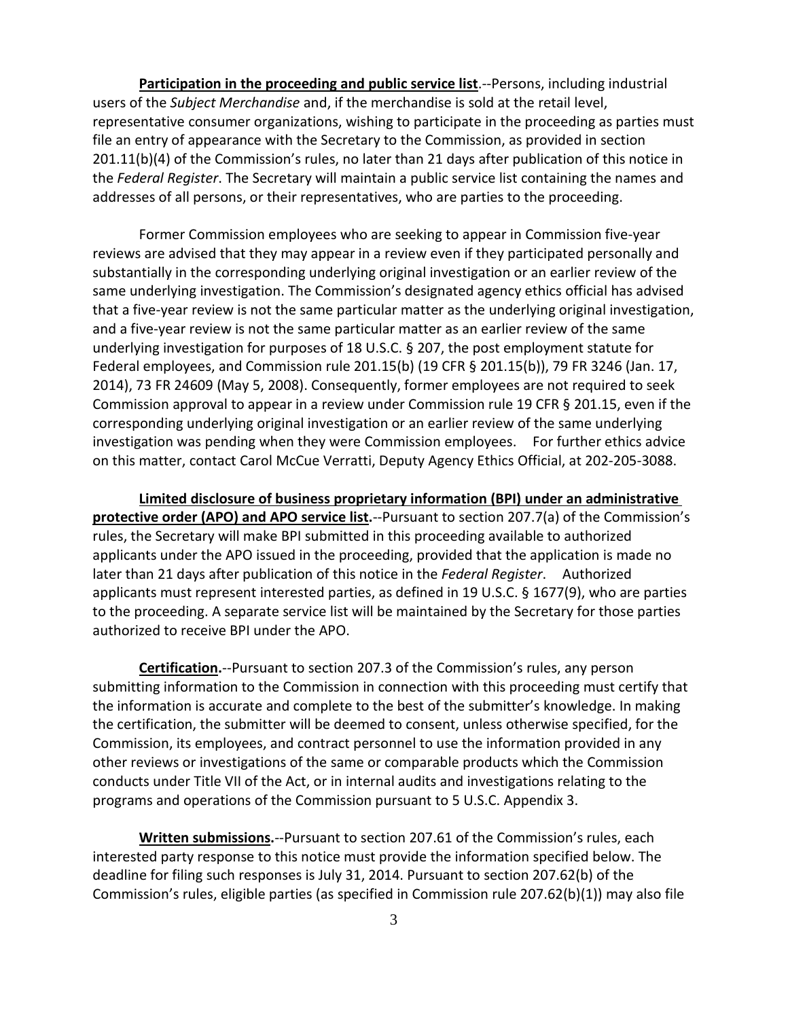**Participation in the proceeding and public service list**.--Persons, including industrial users of the *Subject Merchandise* and, if the merchandise is sold at the retail level, representative consumer organizations, wishing to participate in the proceeding as parties must file an entry of appearance with the Secretary to the Commission, as provided in section 201.11(b)(4) of the Commission's rules, no later than 21 days after publication of this notice in the *Federal Register*. The Secretary will maintain a public service list containing the names and addresses of all persons, or their representatives, who are parties to the proceeding.

Former Commission employees who are seeking to appear in Commission five-year reviews are advised that they may appear in a review even if they participated personally and substantially in the corresponding underlying original investigation or an earlier review of the same underlying investigation. The Commission's designated agency ethics official has advised that a five-year review is not the same particular matter as the underlying original investigation, and a five-year review is not the same particular matter as an earlier review of the same underlying investigation for purposes of 18 U.S.C. § 207, the post employment statute for Federal employees, and Commission rule 201.15(b) (19 CFR § 201.15(b)), 79 FR 3246 (Jan. 17, 2014), 73 FR 24609 (May 5, 2008). Consequently, former employees are not required to seek Commission approval to appear in a review under Commission rule 19 CFR § 201.15, even if the corresponding underlying original investigation or an earlier review of the same underlying investigation was pending when they were Commission employees. For further ethics advice on this matter, contact Carol McCue Verratti, Deputy Agency Ethics Official, at 202-205-3088.

**Limited disclosure of business proprietary information (BPI) under an administrative protective order (APO) and APO service list.**--Pursuant to section 207.7(a) of the Commission's rules, the Secretary will make BPI submitted in this proceeding available to authorized applicants under the APO issued in the proceeding, provided that the application is made no later than 21 days after publication of this notice in the *Federal Register*. Authorized applicants must represent interested parties, as defined in 19 U.S.C. § 1677(9), who are parties to the proceeding. A separate service list will be maintained by the Secretary for those parties authorized to receive BPI under the APO.

**Certification.**--Pursuant to section 207.3 of the Commission's rules, any person submitting information to the Commission in connection with this proceeding must certify that the information is accurate and complete to the best of the submitter's knowledge. In making the certification, the submitter will be deemed to consent, unless otherwise specified, for the Commission, its employees, and contract personnel to use the information provided in any other reviews or investigations of the same or comparable products which the Commission conducts under Title VII of the Act, or in internal audits and investigations relating to the programs and operations of the Commission pursuant to 5 U.S.C. Appendix 3.

**Written submissions.**--Pursuant to section 207.61 of the Commission's rules, each interested party response to this notice must provide the information specified below. The deadline for filing such responses is July 31, 2014. Pursuant to section 207.62(b) of the Commission's rules, eligible parties (as specified in Commission rule 207.62(b)(1)) may also file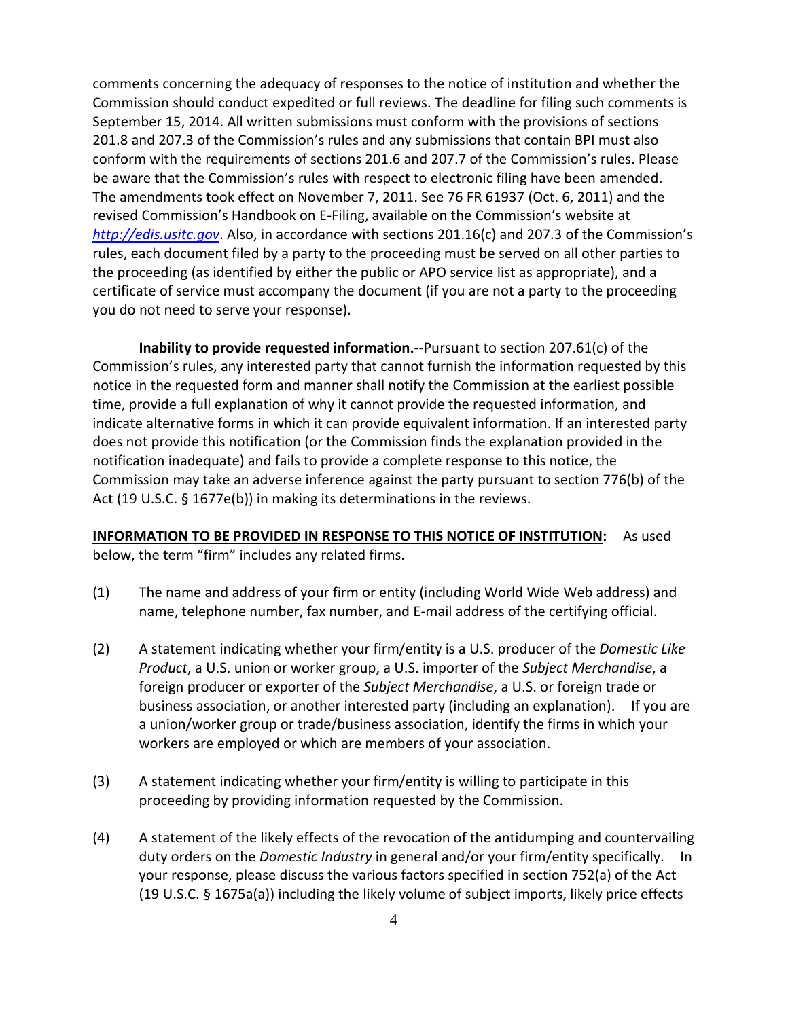comments concerning the adequacy of responses to the notice of institution and whether the Commission should conduct expedited or full reviews. The deadline for filing such comments is September 15, 2014. All written submissions must conform with the provisions of sections 201.8 and 207.3 of the Commission's rules and any submissions that contain BPI must also conform with the requirements of sections 201.6 and 207.7 of the Commission's rules. Please be aware that the Commission's rules with respect to electronic filing have been amended. The amendments took effect on November 7, 2011. See 76 FR 61937 (Oct. 6, 2011) and the revised Commission's Handbook on E-Filing, available on the Commission's website at *[http://edis.usitc.gov](http://edis.usitc.gov/)*. Also, in accordance with sections 201.16(c) and 207.3 of the Commission's rules, each document filed by a party to the proceeding must be served on all other parties to the proceeding (as identified by either the public or APO service list as appropriate), and a certificate of service must accompany the document (if you are not a party to the proceeding you do not need to serve your response).

**Inability to provide requested information.**--Pursuant to section 207.61(c) of the Commission's rules, any interested party that cannot furnish the information requested by this notice in the requested form and manner shall notify the Commission at the earliest possible time, provide a full explanation of why it cannot provide the requested information, and indicate alternative forms in which it can provide equivalent information. If an interested party does not provide this notification (or the Commission finds the explanation provided in the notification inadequate) and fails to provide a complete response to this notice, the Commission may take an adverse inference against the party pursuant to section 776(b) of the Act (19 U.S.C. § 1677e(b)) in making its determinations in the reviews.

**INFORMATION TO BE PROVIDED IN RESPONSE TO THIS NOTICE OF INSTITUTION:** As used below, the term "firm" includes any related firms.

- (1) The name and address of your firm or entity (including World Wide Web address) and name, telephone number, fax number, and E-mail address of the certifying official.
- (2) A statement indicating whether your firm/entity is a U.S. producer of the *Domestic Like Product*, a U.S. union or worker group, a U.S. importer of the *Subject Merchandise*, a foreign producer or exporter of the *Subject Merchandise*, a U.S. or foreign trade or business association, or another interested party (including an explanation). If you are a union/worker group or trade/business association, identify the firms in which your workers are employed or which are members of your association.
- (3) A statement indicating whether your firm/entity is willing to participate in this proceeding by providing information requested by the Commission.
- (4) A statement of the likely effects of the revocation of the antidumping and countervailing duty orders on the *Domestic Industry* in general and/or your firm/entity specifically. In your response, please discuss the various factors specified in section 752(a) of the Act (19 U.S.C. § 1675a(a)) including the likely volume of subject imports, likely price effects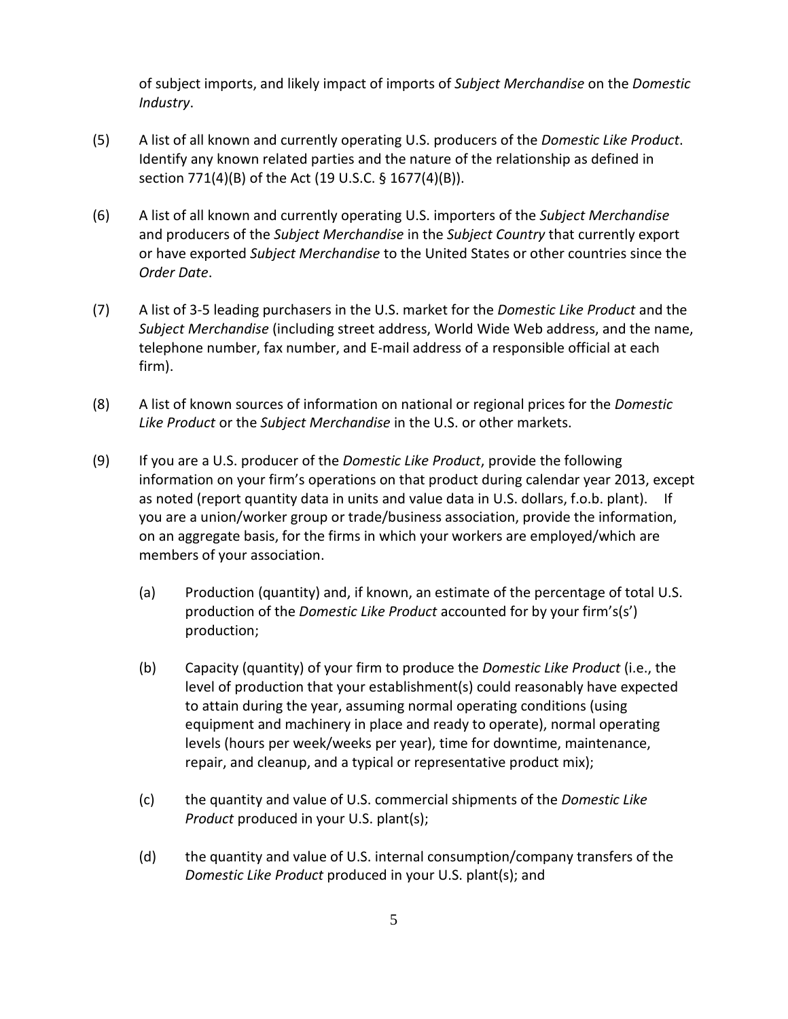of subject imports, and likely impact of imports of *Subject Merchandise* on the *Domestic Industry*.

- (5) A list of all known and currently operating U.S. producers of the *Domestic Like Product*. Identify any known related parties and the nature of the relationship as defined in section 771(4)(B) of the Act (19 U.S.C. § 1677(4)(B)).
- (6) A list of all known and currently operating U.S. importers of the *Subject Merchandise* and producers of the *Subject Merchandise* in the *Subject Country* that currently export or have exported *Subject Merchandise* to the United States or other countries since the *Order Date*.
- (7) A list of 3-5 leading purchasers in the U.S. market for the *Domestic Like Product* and the *Subject Merchandise* (including street address, World Wide Web address, and the name, telephone number, fax number, and E-mail address of a responsible official at each firm).
- (8) A list of known sources of information on national or regional prices for the *Domestic Like Product* or the *Subject Merchandise* in the U.S. or other markets.
- (9) If you are a U.S. producer of the *Domestic Like Product*, provide the following information on your firm's operations on that product during calendar year 2013, except as noted (report quantity data in units and value data in U.S. dollars, f.o.b. plant). If you are a union/worker group or trade/business association, provide the information, on an aggregate basis, for the firms in which your workers are employed/which are members of your association.
	- (a) Production (quantity) and, if known, an estimate of the percentage of total U.S. production of the *Domestic Like Product* accounted for by your firm's(s') production;
	- (b) Capacity (quantity) of your firm to produce the *Domestic Like Product* (i.e., the level of production that your establishment(s) could reasonably have expected to attain during the year, assuming normal operating conditions (using equipment and machinery in place and ready to operate), normal operating levels (hours per week/weeks per year), time for downtime, maintenance, repair, and cleanup, and a typical or representative product mix);
	- (c) the quantity and value of U.S. commercial shipments of the *Domestic Like Product* produced in your U.S. plant(s);
	- (d) the quantity and value of U.S. internal consumption/company transfers of the *Domestic Like Product* produced in your U.S. plant(s); and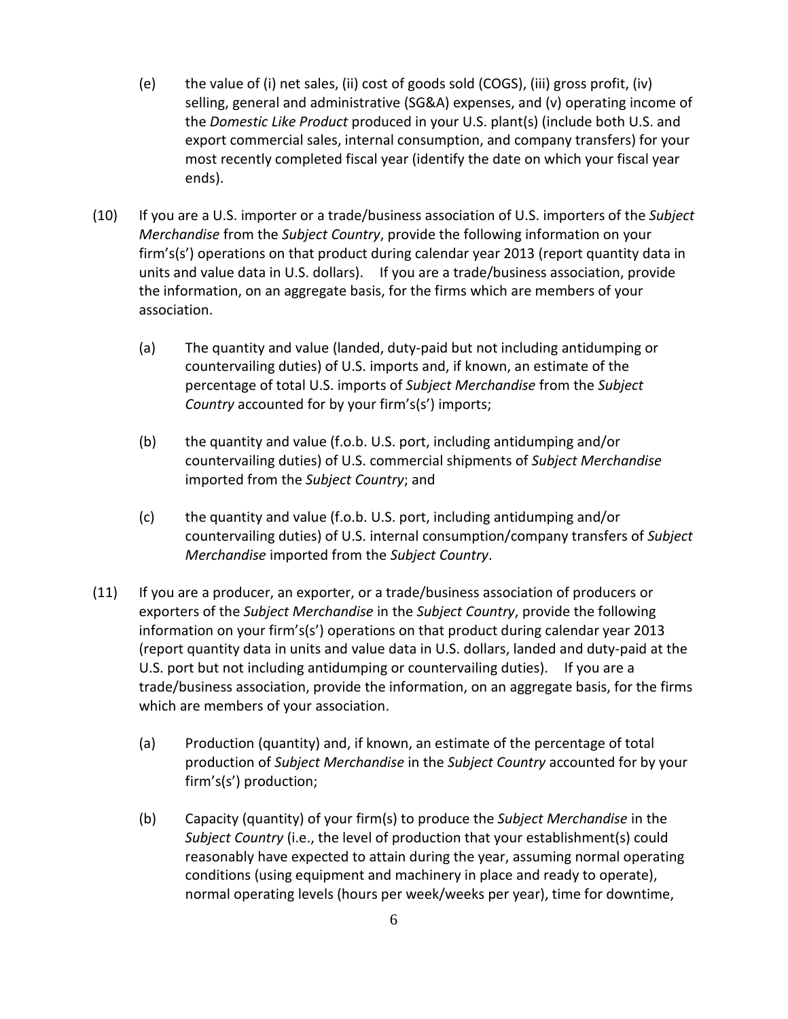- (e) the value of (i) net sales, (ii) cost of goods sold (COGS), (iii) gross profit, (iv) selling, general and administrative (SG&A) expenses, and (v) operating income of the *Domestic Like Product* produced in your U.S. plant(s) (include both U.S. and export commercial sales, internal consumption, and company transfers) for your most recently completed fiscal year (identify the date on which your fiscal year ends).
- (10) If you are a U.S. importer or a trade/business association of U.S. importers of the *Subject Merchandise* from the *Subject Country*, provide the following information on your firm's(s') operations on that product during calendar year 2013 (report quantity data in units and value data in U.S. dollars). If you are a trade/business association, provide the information, on an aggregate basis, for the firms which are members of your association.
	- (a) The quantity and value (landed, duty-paid but not including antidumping or countervailing duties) of U.S. imports and, if known, an estimate of the percentage of total U.S. imports of *Subject Merchandise* from the *Subject Country* accounted for by your firm's(s') imports;
	- (b) the quantity and value (f.o.b. U.S. port, including antidumping and/or countervailing duties) of U.S. commercial shipments of *Subject Merchandise* imported from the *Subject Country*; and
	- (c) the quantity and value (f.o.b. U.S. port, including antidumping and/or countervailing duties) of U.S. internal consumption/company transfers of *Subject Merchandise* imported from the *Subject Country*.
- (11) If you are a producer, an exporter, or a trade/business association of producers or exporters of the *Subject Merchandise* in the *Subject Country*, provide the following information on your firm's(s') operations on that product during calendar year 2013 (report quantity data in units and value data in U.S. dollars, landed and duty-paid at the U.S. port but not including antidumping or countervailing duties). If you are a trade/business association, provide the information, on an aggregate basis, for the firms which are members of your association.
	- (a) Production (quantity) and, if known, an estimate of the percentage of total production of *Subject Merchandise* in the *Subject Country* accounted for by your firm's(s') production;
	- (b) Capacity (quantity) of your firm(s) to produce the *Subject Merchandise* in the *Subject Country* (i.e., the level of production that your establishment(s) could reasonably have expected to attain during the year, assuming normal operating conditions (using equipment and machinery in place and ready to operate), normal operating levels (hours per week/weeks per year), time for downtime,